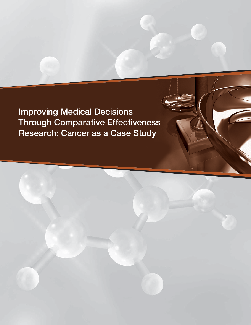**Improving Medical Decisions Through Comparative Effectiveness Research: Cancer as a Case Study**

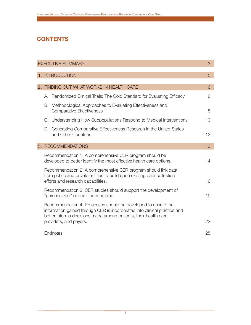# **CONTENTS**

| <b>EXECUTIVE SUMMARY</b> |    |                                                                                                                                                                                                                |                |
|--------------------------|----|----------------------------------------------------------------------------------------------------------------------------------------------------------------------------------------------------------------|----------------|
|                          |    |                                                                                                                                                                                                                |                |
|                          |    | 1. INTRODUCTION                                                                                                                                                                                                | $\overline{5}$ |
|                          |    |                                                                                                                                                                                                                |                |
|                          |    | 2. FINDING OUT WHAT WORKS IN HEALTH CARE                                                                                                                                                                       | 6              |
|                          |    | A. Randomized Clinical Trials: The Gold Standard for Evaluating Efficacy                                                                                                                                       | 6              |
|                          | В. | Methodological Approaches to Evaluating Effectiveness and<br><b>Comparative Effectiveness</b>                                                                                                                  | 8              |
|                          |    | C. Understanding How Subpopulations Respond to Medical Interventions                                                                                                                                           | 10             |
|                          | D. | Generating Comparative Effectiveness Research in the United States<br>and Other Countries                                                                                                                      | 12             |
|                          |    | 3. RECOMMENDATIONS                                                                                                                                                                                             | 13             |
|                          |    | Recommendation 1: A comprehensive CER program should be<br>developed to better identify the most effective health care options.                                                                                | 14             |
|                          |    | Recommendation 2: A comprehensive CER program should link data<br>from public and private entities to build upon existing data collection<br>efforts and research capabilities.                                | 16             |
|                          |    | Recommendation 3: CER studies should support the development of<br>"personalized" or stratified medicine.                                                                                                      | 19             |
|                          |    | Recommendation 4: Processes should be developed to ensure that<br>information gained through CER is incorporated into clinical practice and<br>better informs decisions made among patients, their health care |                |
|                          |    | providers, and payers.                                                                                                                                                                                         | 22             |
|                          |    | Endnotes                                                                                                                                                                                                       | 25             |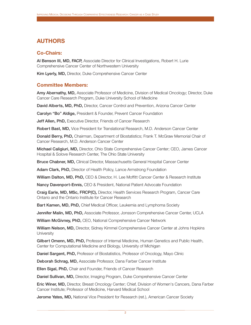# **AUTHORS**

## **Co-Chairs:**

**Al Benson III, MD, FACP,** Associate Director for Clinical Investigations, Robert H. Lurie Comprehensive Cancer Center of Northwestern University

**Kim Lyerly, MD,** Director, Duke Comprehensive Cancer Center

## **Committee Members:**

**Amy Abernathy, MD,** Associate Professor of Medicine, Division of Medical Oncology; Director, Duke Cancer Care Research Program, Duke University School of Medicine

David Alberts, MD, PhD, Director, Cancer Control and Prevention, Arizona Cancer Center

**Carolyn "Bo" Aldige,** President & Founder, Prevent Cancer Foundation

**Jeff Allen, PhD,** Executive Director, Friends of Cancer Research

**Robert Bast, MD,** Vice President for Translational Research, M.D. Anderson Cancer Center

**Donald Berry, PhD,** Chairman, Department of Biostatistics; Frank T. McGraw Memorial Chair of Cancer Research, M.D. Anderson Cancer Center

**Michael Caligiuri, MD,** Director, Ohio State Comprehensive Cancer Center; CEO, James Cancer Hospital & Solove Research Center, The Ohio State University

**Bruce Chabner, MD,** Clinical Director, Massachusetts General Hospital Cancer Center

**Adam Clark, PhD,** Director of Health Policy, Lance Armstrong Foundation

**William Dalton, MD, PhD,** CEO & Director, H. Lee Moffitt Cancer Center & Research Institute

**Nancy Davenpor t-Ennis,** CEO & President, National Patient Advocate Foundation

**Craig Earle, MD, MSc, FRCP(C),** Director, Health Services Research Program, Cancer Care Ontario and the Ontario Institute for Cancer Research

Bart Kamen, MD, PhD, Chief Medical Officer, Leukemia and Lymphoma Society

**Jennifer Malin, MD, PhD,** Associate Professor, Jonsson Comprehensive Cancer Center, UCLA

**William McGivney, PhD,** CEO, National Comprehensive Cancer Network

**William Nelson, MD,** Director, Sidney Kimmel Comprehensive Cancer Center at Johns Hopkins **University** 

Gilbert Omenn, MD, PhD, Professor of Internal Medicine, Human Genetics and Public Health, Center for Computational Medicine and Biology, University of Michigan

**Daniel Sargent, PhD,** Professor of Biostatistics, Professor of Oncology, Mayo Clinic

**Deborah Schrag, MD,** Associate Professor, Dana Farber Cancer Institute

**Ellen Sigal, PhD,** Chair and Founder, Friends of Cancer Research

**Daniel Sullivan, MD,** Director, Imaging Program, Duke Comprehensive Cancer Center

**Eric Winer, MD,** Director, Breast Oncology Center; Chief, Division of Women's Cancers, Dana Farber Cancer Institute; Professor of Medicine, Harvard Medical School

**Jerome Yates, MD,** National Vice President for Research (ret.), American Cancer Society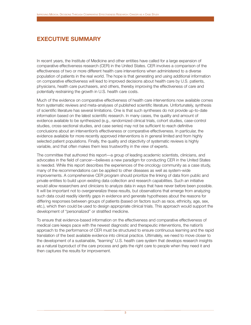# **EXECUTIVE SUMMARY**

In recent years, the Institute of Medicine and other entities have called for a large expansion of comparative effectiveness research (CER) in the United States. CER involves a comparison of the effectiveness of two or more different health care interventions when administered to a diverse population of patients in the real world. The hope is that generating and using additional information on comparative effectiveness will lead to improved decisions about health care by U.S. patients, physicians, health care purchasers, and others, thereby improving the effectiveness of care and potentially restraining the growth in U.S. health care costs.

Much of the evidence on comparative effectiveness of health care interventions now available comes from systematic reviews and meta-analyses of published scientific literature. Unfortunately, synthesis of scientific literature has several limitations. One is that such syntheses do not provide up-to-date information based on the latest scientific research. In many cases, the quality and amount of evidence available to be synthesized (e.g., randomized clinical trials, cohort studies, case-control studies, cross-sectional studies, and case series) may not be sufficient to reach definitive conclusions about an intervention's effectiveness or comparative effectiveness. In particular, the evidence available for more recently approved interventions is in general limited and from highly selected patient populations. Finally, the quality and objectivity of systematic reviews is highly variable, and that often makes them less trustworthy in the view of experts.

The committee that authored this report—a group of leading academic scientists, clinicians, and advocates in the field of cancer—believes a new paradigm for conducting CER in the United States is needed. While this report describes the experiences of the oncology community as a case study, many of the recommendations can be applied to other diseases as well as system-wide improvements. A comprehensive CER program should prioritize the linking of data from public and private entities to build upon existing data collection and research capabilities. Such an initiative would allow researchers and clinicians to analyze data in ways that have never before been possible. It will be important not to overgeneralize these results, but observations that emerge from analyzing such data could readily identify gaps in evidence and generate hypotheses about the reasons for differing responses between groups of patients (based on factors such as race, ethnicity, age, sex, etc.), which then could be used to design appropriate clinical trials. This approach would support the development of "personalized" or stratified medicine.

To ensure that evidence-based information on the effectiveness and comparative effectiveness of medical care keeps pace with the newest diagnostic and therapeutic interventions, the nation's approach to the performance of CER must be structured to ensure continuous learning and the rapid translation of the best available evidence into clinical practice. Ultimately, we need to move closer to the development of a sustainable, "learning" U.S. health care system that develops research insights as a natural byproduct of the care process and gets the right care to people when they need it and then captures the results for improvement.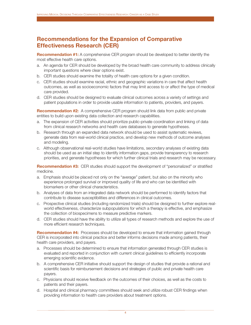## **Recommendations for the Expansion of Comparative Effectiveness Research (CER)**

**Recommendation #1:** A comprehensive CER program should be developed to better identify the most effective health care options.

- a. An agenda for CER should be developed by the broad health care community to address clinically important questions where clear options exist.
- b. CER studies should examine the totality of health care options for a given condition.
- c. CER studies should examine racial, ethnic and geographic variations in care that affect health outcomes, as well as socioeconomic factors that may limit access to or affect the type of medical care provided.
- d. CER studies should be designed to evaluate clinical outcomes across a variety of settings and patient populations in order to provide usable information to patients, providers, and payers.

**Recommendation #2:** A comprehensive CER program should link data from public and private entities to build upon existing data collection and research capabilities.

- a. The expansion of CER activities should prioritize public-private coordination and linking of data from clinical research networks and health care databases to generate hypotheses.
- b. Research through an expanded data network should be used to assist systematic reviews, generate data from real-world clinical practice, and develop new methods of outcome analyses and modeling.
- c. Although observational real-world studies have limitations, secondary analyses of existing data should be used as an initial step to identify information gaps, provide transparency to research priorities, and generate hypotheses for which further clinical trials and research may be necessary.

**Recommendation #3:** CER studies should support the development of "personalized" or stratified medicine.

- a. Emphasis should be placed not only on the "average" patient, but also on the minority who experience prolonged survival or improved quality of life and who can be identified with biomarkers or other clinical characteristics.
- b. Analyses of data from an integrated data network should be performed to identify factors that contribute to disease susceptibilities and differences in clinical outcomes.
- c. Prospective clinical studies (including randomized trials) should be designed to further explore realworld effectiveness, characterize subpopulations for which a therapy is effective, and emphasize the collection of biospecimens to measure predictive markers.
- d. CER studies should have the ability to utilize all types of research methods and explore the use of more efficient research techniques.

**Recommendation #4:** Processes should be developed to ensure that information gained through CER is incorporated into clinical practice and better informs decisions made among patients, their health care providers, and payers.

- a. Processes should be determined to ensure that information generated through CER studies is evaluated and reported in conjunction with current clinical guidelines to efficiently incorporate emerging scientific evidence.
- b. A comprehensive CER initiative should support the design of studies that provide a rational and scientific basis for reimbursement decisions and strategies of public and private health care payers.
- c. Physicians should receive feedback on the outcomes of their choices, as well as the costs to patients and their payers.
- d. Hospital and clinical pharmacy committees should seek and utilize robust CER findings when providing information to health care providers about treatment options.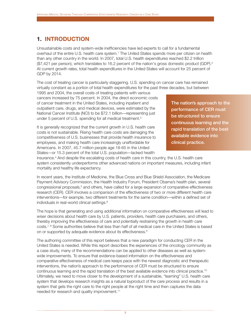# **1. INTRODUCTION**

Unsustainable costs and system-wide inefficiencies have led experts to call for a fundamental overhaul of the entire U.S. health care system.<sup>1</sup> The United States spends more per citizen on health than any other country in the world. In 2007, total U.S. health expenditures reached \$2.2 trillion (\$7,421 per person), which translates to 16.2 percent of the nation's gross domestic product (GDP).2 At current growth rates, total health expenditures in the United States will account for 25 percent of GDP by 2014.

The cost of treating cancer is particularly staggering. U.S. spending on cancer care has remained virtually constant as a portion of total health expenditures for the past three decades, but between

1995 and 2004, the overall costs of treating patients with various cancers increased by 75 percent. In 2004, the direct economic costs of cancer treatment in the United States, including inpatient and outpatient care, drugs, and medical devices, were estimated by the National Cancer Institute (NCI) to be \$72.1 billion—representing just under 5 percent of U.S. spending for all medical treatment.<sup>3</sup>

It is generally recognized that the current growth in U.S. health care costs is not sustainable. Rising health care costs are damaging the competitiveness of U.S. businesses that provide health insurance to employees, and making health care increasingly unaffordable for Americans. In 2007, 45.7 million people age 18-65 in the United States—or 15.3 percent of the total U.S. population—lacked health

**The nation's approach to the per formance of CER must be structured to ensure continuous learning and the rapid translation of the best available evidence into clinical practice.**

insurance.4 And despite the escalating costs of health care in this country, the U.S. health care system consistently underperforms other advanced nations on important measures, including infant mortality and healthy life expectancy.

In recent years, the Institute of Medicine, the Blue Cross and Blue Shield Association, the Medicare Payment Advisory Commission, the Health Industry Forum, President Obama's health plan, several congressional proposals,<sup>5</sup> and others, have called for a large expansion of comparative effectiveness research (CER). CER involves a comparison of the effectiveness of two or more different health care interventions—for example, two different treatments for the same condition—within a defined set of individuals in real-world clinical settings.<sup>6</sup>

The hope is that generating and using additional information on comparative effectiveness will lead to wiser decisions about health care by U.S. patients, providers, health care purchasers, and others, thereby improving the effectiveness of care and potentially restraining the growth in health care costs.<sup>7, 8</sup> Some authorities believe that less than half of all medical care in the United States is based on or supported by adequate evidence about its effectiveness.<sup>9</sup>

The authoring committee of this report believes that a new paradigm for conducting CER in the United States is needed. While this report describes the experiences of the oncology community as a case study, many of the recommendations can be applied to other diseases as well as systemwide improvements. To ensure that evidence-based information on the effectiveness and comparative effectiveness of medical care keeps pace with the newest diagnostic and therapeutic interventions, the nation's approach to the performance of CER must be structured to ensure continuous learning and the rapid translation of the best available evidence into clinical practice.10 Ultimately, we need to move closer to the development of a sustainable, "learning" U.S. health care system that develops research insights as a natural byproduct of the care process and results in a system that gets the right care to the right people at the right time and then captures the data needed for research and quality improvement.<sup>11</sup>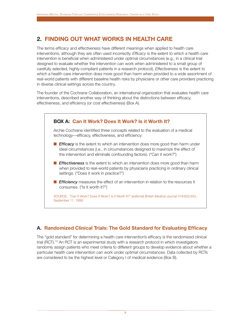# **2. FINDING OUT WHAT WORKS IN HEALTH CARE**

The terms *efficacy* and *effectiveness* have different meanings when applied to health care interventions, although they are often used incorrectly. *Efficacy* is the extent to which a health care intervention is beneficial when administered under optimal circumstances (e.g., in a clinical trial designed to evaluate whether the intervention can work when administered to a small group of carefully selected, highly-compliant patients in a research protocol). *Effectiveness* is the extent to which a health care intervention does more good than harm when provided to a wide assortment of real-world patients with different baseline health risks by physicians or other care providers practicing in diverse clinical settings across the country.

The founder of the Cochrane Collaboration, an international organization that evaluates health care interventions, described another way of thinking about the distinctions between efficacy, effectiveness, and efficiency (or cost effectiveness) (Box A).



## **A. Randomized Clinical Trials: The Gold Standard for Evaluating Efficacy**

The "gold standard" for determining a health care intervention's efficacy is the randomized clinical trial (RCT).<sup>12</sup> An RCT is an experimental study with a research protocol in which investigators randomly assign patients who meet criteria to different groups to develop evidence about whether a particular health care intervention can work under *optimal* circumstances. Data collected by RCTs are considered to be the highest level or Category I of medical evidence (Box B).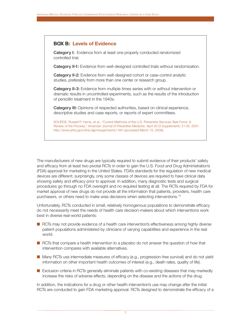## **BOX B: Levels of Evidence**

**Category I:** Evidence from at least one properly conducted randomized controlled trial.

**Category II-1:** Evidence from well-designed controlled trials without randomization.

**Category II-2:** Evidence from well-designed cohort or case-control analytic studies, preferably from more than one center or research group.

**Category II-3:** Evidence from multiple times series with or without intervention or dramatic results in uncontrolled experiments, such as the results of the introduction of penicillin treatment in the 1940s.

Category III: Opinions of respected authorities, based on clinical experience, descriptive studies and case reports, or reports of expert committees.

SOURCE: Russell P. Harris, et al., "Current Methods of the U.S. Preventive Services Task Force: A Review of the Process," *American Journal of Preventive Medicine*. April 20 (3 Supplement): 21-35, 2001. http://www.ahrq.gov/clinic/ajpmsuppl/harris1.htm (accessed March 15, 2009).

The manufacturers of new drugs are typically required to submit evidence of their products' safety and efficacy from at least two pivotal RCTs in order to gain the U.S. Food and Drug Administration's (FDA) approval for marketing in the United States. FDA's standards for the regulation of new medical devices are different; surprisingly, only some classes of devices are required to have clinical data showing safety and efficacy prior to approval. In addition, many diagnostic tests and surgical procedures go through no FDA oversight and no required testing at all. The RCTs required by FDA for market approval of new drugs do not provide all the information that patients, providers, health care purchasers, or others need to make wise decisions when selecting interventions.13

Unfortunately, RCTs conducted in small, relatively homogenous populations to demonstrate efficacy do not necessarily meet the needs of health care decision-makers about which interventions work best in diverse real-world patients:

- RCTs may not provide evidence of a health care intervention's effectiveness among highly diverse patient populations administered by clinicians of varying capabilities and experience in the real world.
- RCTs that compare a health intervention to a placebo do not answer the question of how that intervention compares with available alternatives.
- Many RCTs use intermediate measures of efficacy (e.g., progression-free survival) and do not yield information on other important health outcomes of interest (e.g., death rates, quality of life).
- Exclusion criteria in RCTs generally eliminate patients with co-existing diseases that may markedly increase the risks of adverse effects, depending on the disease and the actions of the drug.

In addition, the indications for a drug or other health intervention's use may change after the initial RCTs are conducted to gain FDA marketing approval. RCTs designed to demonstrate the efficacy of a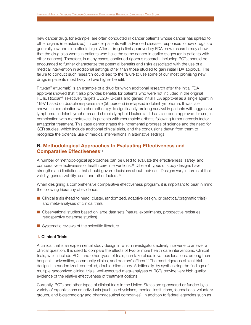new cancer drug, for example, are often conducted in cancer patients whose cancer has spread to other organs (metastasized). In cancer patients with advanced disease, responses to new drugs are generally low and side effects high. After a drug is first approved by FDA, new research may show that the drug also works in patients who have the same cancer in earlier stages (or in patients with other cancers). Therefore, in many cases, continued rigorous research, including RCTs, should be encouraged to further characterize the potential benefits and risks associated with the use of a medical intervention in additional settings other than those studied to gain initial FDA approval. The failure to conduct such research could lead to the failure to use some of our most promising new drugs in patients most likely to have higher benefit.

Rituxan® (rituximab) is an example of a drug for which additional research after the initial FDA approval showed that it also provides benefits for patients who were not included in the original RCTs. Rituxan<sup>®</sup> selectively targets CD20+ B-cells and gained initial FDA approval as a single agent in 1997 based on durable response rate (50 percent) in relapsed indolent lymphoma. It was later shown, in combination with chemotherapy, to significantly prolong survival in patients with aggressive lymphoma, indolent lymphoma and chronic lymphoid leukemia. It has also been approved for use, in combination with methotrexate, in patients with rheumatoid arthritis following tumor necrosis factor antagonist treatment. This case demonstrates the incremental progress of science and the need for CER studies, which include additional clinical trials, and the conclusions drawn from them to recognize the potential use of medical interventions in alternative settings.

## **B. Methodological Approaches to Evaluating Effectiveness and Comparative Effectiveness**<sup>14</sup>

A number of methodological approaches can be used to evaluate the effectiveness, safety, and comparative effectiveness of health care interventions.15 Different types of study designs have strengths and limitations that should govern decisions about their use. Designs vary in terms of their validity, generalizability, cost, and other factors.16

When designing a comprehensive comparative effectiveness program, it is important to bear in mind the following hierarchy of evidence:

- Clinical trials (head to head, cluster, randomized, adaptive design, or practical/pragmatic trials) and meta-analyses of clinical trials
- Observational studies based on large data sets (natural experiments, prospective registries, retrospective database studies)
- Systematic reviews of the scientific literature

#### **1. Clinical Trials**

A clinical trial is an experimental study design in which investigators actively intervene to answer a clinical question. It is used to compare the effects of two or more health care interventions. Clinical trials, which include RCTs and other types of trials, can take place in various locations, among them hospitals, universities, community clinics, and doctors' offices.<sup>17</sup> The most rigorous clinical trial design is a randomized, controlled, double-blind study. Additionally, by synthesizing the findings of multiple randomized clinical trials, well-executed meta-analyses of RCTs provide very high quality evidence of the relative effectiveness of treatment options.

Currently, RCTs and other types of clinical trials in the United States are sponsored or funded by a variety of organizations or individuals (such as physicians, medical institutions, foundations, voluntary groups, and biotechnology and pharmaceutical companies), in addition to federal agencies such as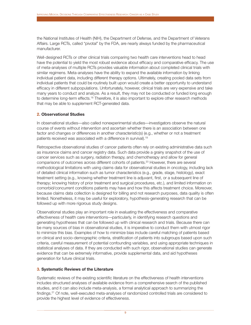the National Institutes of Health (NIH), the Department of Defense, and the Department of Veterans Affairs. Large RCTs, called "pivotal" by the FDA, are nearly always funded by the pharmaceutical manufacturer.

Well-designed RCTs or other clinical trials comparing two health care interventions head to head have the potential to yield the most robust evidence about efficacy and comparative efficacy. The use of meta-analyses of multiple RCTs provides valuable information about completed clinical trials with similar regimens. Meta-analyses have the ability to expand the available information by linking individual patient data, including different therapy options. Ultimately, creating pooled data sets from individual patients that could be routinely built upon would create a better opportunity to understand efficacy in different subpopulations. Unfortunately, however, clinical trials are very expensive and take many years to conduct and analyze. As a result, they may not be conducted or funded long enough to determine long-term effects.<sup>18</sup> Therefore, it is also important to explore other research methods that may be able to supplement RCT-generated data.

#### **2. Observational Studies**

In observational studies—also called nonexperimental studies—investigators observe the natural course of events without intervention and ascertain whether there is an association between one factor and changes or differences in another characteristic(s) (e.g., whether or not a treatment patients received was associated with a difference in survival).19

Retrospective observational studies of cancer patients often rely on existing administrative data such as insurance claims and cancer registry data. Such data provide a grainy snapshot of the use of cancer services such as surgery, radiation therapy, and chemotherapy and allow for general comparisons of outcomes across different cohorts of patients.<sup>20</sup> However, there are several methodological limitations with using claims data for observational studies in oncology, including lack of detailed clinical information such as tumor characteristics (e.g., grade, stage, histology), exact treatment setting (e.g., knowing whether treatment line is adjuvant, first, or a subsequent line of therapy; knowing history of prior treatment and surgical procedures, etc.), and limited information on comorbid/concurrent conditions patients may have and how this affects treatment choice. Moreover, because claims data collection is designed for billing and not research purposes, data quality is often limited. Nonetheless, it may be useful for exploratory, hypothesis-generating research that can be followed up with more rigorous study designs.

Observational studies play an important role in evaluating the effectiveness and comparative effectiveness of health care interventions—particularly, in identifying research questions and generating hypotheses that can be followed up with clinical research and trials. Because there can be many sources of bias in observational studies, it is imperative to conduct them with utmost rigor to minimize this bias. Examples of how to minimize bias include careful matching of patients based on clinical and socio-demographic criteria, stratification of patients into subgroups based upon such criteria, careful measurement of potential confounding variables, and using appropriate techniques in statistical analyses of data. If they are conducted with such rigor, observational studies can generate evidence that can be extremely informative, provide supplemental data, and aid hypotheses generation for future clinical trials.

#### **3. Systematic Reviews of the Literature**

Systematic reviews of the existing scientific literature on the effectiveness of health interventions includes structured analyses of available evidence from a comprehensive search of the published studies, and it can also include meta-analysis, a formal analytical approach to summarizing the findings.<sup>21</sup> Of note, well-executed meta-analyses of randomized controlled trials are considered to provide the highest level of evidence of effectiveness.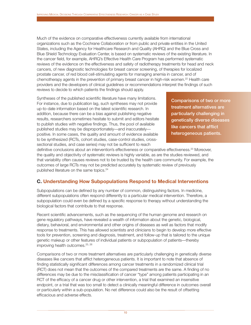Much of the evidence on comparative effectiveness currently available from international organizations such as the Cochrane Collaboration or from public and private entities in the United States, including the Agency for Healthcare Research and Quality (AHRQ) and the Blue Cross and Blue Shield Technology Evaluation Center, is based on systematic reviews of the existing literature. In the cancer field, for example, AHRQ's Effective Health Care Program has performed systematic reviews of the evidence on the effectiveness and safety of radiotherapy treatments for head and neck cancers, of new diagnostic technologies for breast cancer screening, of therapies for localized prostate cancer, of red blood cell-stimulating agents for managing anemia in cancer, and of chemotherapy agents in the prevention of primary breast cancer in high-risk women.<sup>22</sup> Health care providers and the developers of clinical guidelines or recommendations interpret the findings of such reviews to decide to which patients the findings should apply.

Syntheses of the published scientific literature have many limitations. For instance, due to publication lag, such syntheses may not provide up-to-date information based on the latest scientific research. In addition, because there can be a bias against publishing negative results, researchers sometimes hesitate to submit and editors hesitate to publish studies with negative findings. Thus, the pool of available published studies may be disproportionately—and inaccurately positive. In some cases, the quality and amount of evidence available to be synthesized (RCTs, cohort studies, case-control studies, crosssectional studies, and case series) may not be sufficient to reach

**Comparisons of two or more treatment alternatives are par ticularly challenging in genetically diverse diseases like cancers that afflict heterogeneous patients.**

definitive conclusions about an intervention's effectiveness or comparative effectiveness.<sup>23</sup> Moreover, the quality and objectivity of systematic reviews is highly variable, as are the studies reviewed, and that variability often causes reviews not to be trusted by the health care community. For example, the outcomes of large RCTs may not be predicted accurately by systematic review of previously published literature on the same topics.<sup>24</sup>

## **C. Understanding How Subpopulations Respond to Medical Interventions**

Subpopulations can be defined by any number of common, distinguishing factors. In medicine, different subpopulations often respond differently to a particular medical intervention. Therefore, a subpopulation could even be defined by a specific response to therapy without understanding the biological factors that contribute to that response.

Recent scientific advancements, such as the sequencing of the human genome and research on gene regulatory pathways, have revealed a wealth of information about the genetic, biological, dietary, behavioral, and environmental and other origins of diseases as well as factors that modify response to treatments. This has allowed scientists and clinicians to begin to develop more effective tools for prevention, screening and diagnosis, treatment, and follow-up that is tailored to the unique genetic makeup or other features of individual patients or subpopulation of patients—thereby improving health outcomes.<sup>25, 26</sup>

Comparisons of two or more treatment alternatives are particularly challenging in genetically diverse diseases like cancers that afflict heterogeneous patients. It is important to note that absence of finding statistically significant differences among cancer treatments in a randomized clinical trial (RCT) does not mean that the outcomes of the compared treatments are the same. A finding of no differences may be due to the misclassification of cancer "type" among patients participating in an RCT of the efficacy of a cancer drug or other intervention, a trial that examined an insensitive endpoint, or a trial that was too small to detect a clinically meaningful difference in outcomes overall or particularly within a sub-population. No net difference could also be the result of offsetting efficacious and adverse effects.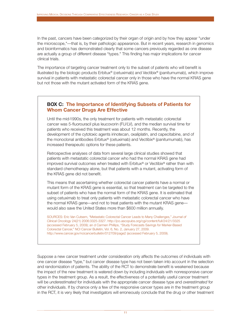In the past, cancers have been categorized by their organ of origin and by how they appear "under the microscope,"—that is, by their pathologic appearance. But in recent years, research in genomics and bioinformatics has demonstrated clearly that some cancers previously regarded as one disease are actually a group of different disease "types." This finding has major implications for cancer clinical trials.

The importance of targeting cancer treatment only to the subset of patients who will benefit is illustrated by the biologic products Erbitux® (cetuximab) and Vectibix® (panitumumab), which improve survival in patients with metastatic colorectal cancer only in those who have the normal KRAS gene but not those with the mutant activated form of the KRAS gene.

## **BOX C: The Importance of Identifying Subsets of Patients for Whom Cancer Drugs Are Effective**

Until the mid-1990s, the only treatment for patients with metastatic colorectal cancer was 5-fluorouracil plus leucovorin (FU/LV), and the median survival time for patients who received this treatment was about 12 months. Recently, the development of the cytotoxic agents irinotecan, oxaliplatin, and capecitabine, and of the monoclonal antibodies Erbitux® (cetuximab) and Vectibix® (panitumumab), has increased therapeutic options for these patients.

Retrospective analyses of data from several large clinical studies showed that patients with metastatic colorectal cancer who had the normal KRAS gene had improved survival outcomes when treated with Erbitux® or Vectibix® rather than with standard chemotherapy alone, but that patients with a mutant, activating form of the KRAS gene did not benefit.

This means that ascertaining whether colorectal cancer patients have a normal or mutant form of the KRAS gene is essential, so that treatment can be targeted to the subset of patients who have the normal form of the KRAS gene. It is estimated that using cetuximab to treat only patients with metastatic colorectal cancer who have the normal KRAS gene—and not to treat patients with the mutant KRAS gene would also save the United States more than \$600 million annually.

SOURCES: Eric Van Cutsem, "Metastatic Colorectal Cancer Leads to Many Challenges," *Journal of Clinical Oncology* 24(21) 2006:3325-3327. http://jco.ascopubs.org/cgi/content/full/24/21/3325 (accessed February 5, 2009); an d Carmen Phillips, "Study Forecasts Savings for Marker-Based Colorectal Cancer," NCI Cancer Bulletin, Vol. 6, No. 2, January 27, 2009. http://www.cancer.gov/ncicancerbulletin/012709/page2 (accessed February 5, 2009).

Suppose a new cancer treatment under consideration only affects the outcomes of individuals with one cancer disease "type," but cancer disease type has not been taken into account in the selection and randomization of patients. The ability of the RCT to demonstrate benefit is weakened because the impact of the new treatment is watered down by including individuals with nonresponsive cancer types in the treatment group. As a result, the effectiveness of a potentially useful cancer treatment will be *underestimated* for individuals with the appropriate cancer disease type and *overestimated* for other individuals. If by chance only a few of the responsive cancer types are in the treatment group in the RCT, it is very likely that investigators will erroneously conclude that the drug or other treatment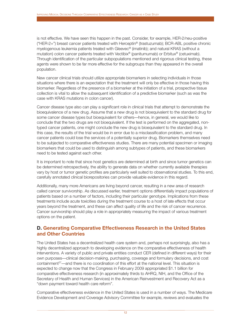is not effective. We have seen this happen in the past. Consider, for example, HER-2/neu-positive ("HER-2+") breast cancer patients treated with Herceptin® (trastuzumab); BCR-ABL positive chronic myelogenous leukemia patients treated with Gleevec® (imatinib); and natural KRAS (without a mutation) colon cancer patients treated with Vectibix<sup>®</sup> (panitumumab) or Erbitux<sup>®</sup> (cetuximab). Through identification of the particular subpopulations mentioned and rigorous clinical testing, these agents were shown to be far more effective for the subgroups than they appeared in the overall population.

New cancer clinical trials should utilize appropriate biomarkers in selecting individuals in those situations where there is an expectation that the treatment will only be effective in those having this biomarker. Regardless of the presence of a biomarker at the initiation of a trial, prospective tissue collection is vital to allow the subsequent identification of a predictive biomarker (such as was the case with KRAS mutations in colon cancer).

Cancer disease type also can play a significant role in clinical trials that attempt to demonstrate the bioequivalence of a new drug. Assume that a new drug is not bioequivalent to the standard drug for some cancer disease types but bioequivalent for others—hence, in general, we would like to conclude that the two drugs are not bioequivalent. If the test is performed on the aggregated, nontyped cancer patients, one might conclude the new drug is bioequivalent to the standard drug. In this case, the results of the trial would be in error due to a misclassification problem, and many cancer patients could lose the services of a potentially superior drug. Biomarkers themselves need to be subjected to comparative effectiveness studies. There are many potential specimen or imaging biomarkers that could be used to distinguish among subtypes of patients, and these biomarkers need to be tested against each other.

It is important to note that since host genetics are determined at birth and since tumor genetics can be determined retrospectively, the ability to generate data on whether currently available therapies vary by host or tumor genetic profiles are particularly well suited to observational studies. To this end, carefully annotated clinical biorepositories can provide valuable evidence in this regard.

Additionally, many more Americans are living beyond cancer, resulting in a new area of research called cancer survivorship. As discussed earlier, treatment options differentially impact populations of patients based on a number of factors, including their particular genotype. Implications from these treatments include acute toxicities during the treatment course to a host of late effects that occur years beyond the treatment, and these can affect quality of life and the risk of cancer recurrence. Cancer survivorship should play a role in appropriately measuring the impact of various treatment options on the patient.

## **D. Generating Comparative Effectiveness Research in the United States and Other Countries**

The United States has a decentralized health care system and, perhaps not surprisingly, also has a highly decentralized approach to developing evidence on the comparative effectiveness of health interventions. A variety of public and private entities conduct CER (defined in different ways) for their own purposes—clinical decision-making, purchasing, coverage and formulary decisions, and cost containment<sup>27</sup>—and there is no coordination of this effort at the national level. This situation is expected to change now that the Congress in February 2009 appropriated \$1.1 billion for comparative effectiveness research (in approximately thirds to AHRQ, NIH, and the Office of the Secretary of Health and Human Services) in the American Reinvestment and Recovery Act as a "down payment toward health care reform".

Comparative effectiveness evidence in the United States is used in a number of ways. The Medicare Evidence Development and Coverage Advisory Committee for example, reviews and evaluates the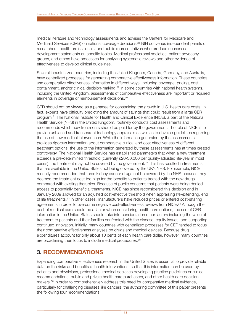medical literature and technology assessments and advises the Centers for Medicare and Medicaid Services (CMS) on national coverage decisions.28 NIH convenes independent panels of researchers, health professionals, and public representatives who produce consensus development statements on specific topics. Medical professional societies, patient advocacy groups, and others have processes for analyzing systematic reviews and other evidence of effectiveness to develop clinical guidelines.

Several industrialized countries, including the United Kingdom, Canada, Germany, and Australia, have centralized processes for generating comparative effectiveness information. These countries use comparative effectiveness information in different ways, including coverage, pricing, cost containment, and/or clinical decision-making.<sup>29</sup> In some countries with national health systems, including the United Kingdom, assessments of comparative effectiveness are important or required elements in coverage or reimbursement decisions.30

CER should not be viewed as a panacea for constraining the growth in U.S. health care costs. In fact, experts have difficulty predicting the amount of savings that could result from a large CER program.31 The National Institute for Health and Clinical Excellence (NICE), a part of the National Health Service (NHS) in the United Kingdom, routinely conducts cost assessments and recommends which new treatments should be paid for by the government. The role of NICE is to provide unbiased and transparent technology appraisals as well as to develop guidelines regarding the use of new medical interventions. While the information generated by the assessments provides rigorous information about comparative clinical and cost effectiveness of different treatment options, the use of the information generated by these assessments has at times created controversy. The National Health Service has established parameters that when a new treatment exceeds a pre-determined threshold (currently £20-30,000 per quality-adjusted life-year in most cases), the treatment may not be covered by the government.<sup>32</sup> This has resulted in treatments that are available in the United States not being covered by the UK's NHS. For example, NICE recently recommended that three kidney cancer drugs not be covered by the NHS because they deemed the treatment cost too high for the benefits to patients treated with the new drugs compared with existing therapies. Because of public concerns that patients were being denied access to potentially beneficial treatments, NICE has since reconsidered this decision and in January 2009 allowed for an adjusted cost-effective threshold when appraising life-extending, end of life treatments.<sup>33</sup> In other cases, manufacturers have reduced prices or entered cost-sharing agreements in order to overcome negative cost-effectiveness reviews from NICE.34 Although the cost of medical care should be a factor when considering health care options, the use of CER information in the United States should take into consideration other factors including the value of treatment to patients and their families confronted with the disease, equity issues, and supporting continued innovation. Initially, many countries with centralized processes for CER tended to focus their comparative effectiveness analyses on drugs and medical devices. Because drug expenditures account for only about 10 cents of each health care dollar, however, many countries are broadening their focus to include medical procedures.<sup>35</sup>

## **3. RECOMMENDATIONS**

Expanding comparative effectiveness research in the United States is essential to provide reliable data on the risks and benefits of health interventions, so that this information can be used by patients and physicians, professional medical societies developing practice guidelines or clinical recommendations, public and private health care purchasers, and other health care decisionmakers.36 In order to comprehensively address this need for comparative medical evidence, particularly for challenging diseases like cancers, the authoring committee of this paper presents the following four recommendations.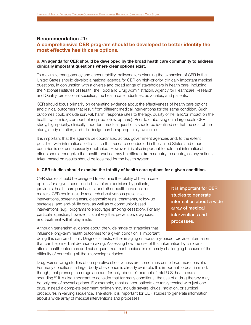#### **Recommendation #1:**

## **A comprehensive CER program should be developed to better identify the most effective health care options.**

#### **a. An agenda for CER should be developed by the broad heath care community to address clinically important questions where clear options exist.**

To maximize transparency and accountability, policymakers planning the expansion of CER in the United States should develop a national agenda for CER on high-priority, clinically important medical questions, in conjunction with a diverse and broad range of stakeholders in health care, including; the National Institutes of Health, the Food and Drug Administration, Agency for Healthcare Research and Quality, professional societies, the health care industries, advocates, and patients.

CER should focus primarily on generating evidence about the effectiveness of health care options and clinical outcomes that result from different medical interventions for the same condition. Such outcomes could include survival, harm, response rates to therapy, quality of life, and/or impact on the health system (e.g., amount of required follow-up care). Prior to embarking on a large-scale CER study, high-priority, clinically important medical questions should be identified so that the cost of the study, study duration, and trial design can be appropriately evaluated.

It is important that the agenda be coordinated across government agencies and, to the extent possible, with international officials, so that research conducted in the United States and other countries is not unnecessarily duplicated. However, it is also important to note that international efforts should recognize that health practice may be different from country to country, so any actions taken based on results should be localized for the health system.

#### **b. CER studies should examine the totality of health care options for a given condition.**

CER studies should be designed to examine the totality of health care options for a given condition to best inform decisions by patients, providers, health care purchasers, and other health care decisionmakers. CER could include research about various preventive interventions, screening tests, diagnostic tests, treatments, follow-up strategies, and end-of-life care, as well as of community-based interventions (e.g., programs to encourage smoking cessation). For any particular question, however, it is unlikely that prevention, diagnosis, and treatment will all play a role.

Although generating evidence about the wide range of strategies that influence long-term health outcomes for a given condition is important, **It is impor tant for CER studies to generate information about a wide array of medical interventions and processes.**

doing this can be difficult. Diagnostic tests, either imaging or laboratory-based, provide information that can help medical decision-making. Assessing how the use of that information by clinicians affects health outcomes and subsequent treatment choices is extremely challenging because of the difficulty of controlling all the intervening variables.

Drug-versus-drug studies of comparative effectiveness are sometimes considered more feasible. For many conditions, a larger body of evidence is already available. It is important to bear in mind, though, that prescription drugs account for only about 10 percent of total U.S. health care spending.<sup>37</sup> It is also important to consider that for many conditions, the use of a drug therapy may be only one of several options. For example, most cancer patients are rarely treated with just one drug. Instead a complete treatment regimen may include several drugs, radiation, or surgical procedures in varying sequence. Therefore, it is important for CER studies to generate information about a wide array of medical interventions and processes.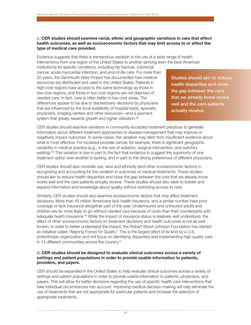#### **c. CER studies should examine racial, ethnic and geographic variations in care that affect health outcomes, as well as socioeconomic factors that may limit access to or affect the type of medical care provided.**

Evidence suggests that there is tremendous variation in the use of a wide range of health interventions from one region of the United States to another (among even the best American

institutions) for specific conditions, including hip fracture, colorectal cancer, acute myocardial infarction, and end-of-life care. For more than 20 years, the Dartmouth Atlas Project has documented how medical resources are distributed and used in the United States. Patients in high-cost regions have access to the same technology as those in low-cost regions, and those in low-cost regions are not deprived of needed care. In fact, care is often *better* in low-cost areas. The differences appear to be due to discretionary decisions by physicians that are influenced by the local availability of hospital beds, specialty physicians, imaging centers and other resources—and a payment system that greatly rewards growth and higher utilization.<sup>38</sup>

**Studies should aim to reduce health disparities and close the gap between the care that we already know works well and the care patients actually receive.**

CER studies should examine variations in community-accepted treatment practices to generate information about different treatment approaches to disease management that may improve or negatively impact outcomes. In some cases, the variation may stem from insufficient evidence about what is most effective. For localized prostate cancer, for example, there is significant geographic variability in medical practice (e.g., in the use of radiation, surgical intervention, and watchful waiting).<sup>39</sup> This variation is due in part to the fact that evidence to suggest the superiority of one treatment option over another is lacking, and in part to the strong preferences of different physicians.

CER studies should also consider sex, race and ethnicity (and other socioeconomic factors) in recognizing and accounting for the variation in outcomes of medical treatments. These studies should aim to reduce health disparities and close the gap between the care that we already know works well and the care patients actually receive. These studies should also seek to bolster and expand information and knowledge about quality without restricting access to care.

Similarly, CER studies should also examine socioeconomic factors that may affect treatment decisions. More than 45 million Americans lack health insurance, and a similar number have poor coverage or lack insurance altogether part of the year. Underinsured and uninsured adults and children are far more likely to go without needed care because of costs than their counterparts with adequate health insurance.40 While the impact of insurance status is relatively well understood, the effect of other socioeconomic factors on treatment decisions and health outcomes is not as well known. In order to better understand the impact, the Robert Wood Johnson Foundation has started an initiative called "Aligning Forces for Quality." This is the largest effort of its kind by a U.S. philanthropic organization and will focus on identifying disparities and implementing high quality care in 14 different communities across the country.<sup>41</sup>

#### **d. CER studies should be designed to evaluate clinical outcomes across a variety of settings and patient populations in order to provide usable information to patients, providers, and payers.**

CER should be expanded in the United States to help evaluate clinical outcomes across a variety of settings and patient populations in order to provide usable information to patients, physicians, and payers. This will allow for better decisions regarding the use of specific health care interventions that take individual circumstances into account. Improving medical decision-making will help eliminate the use of treatments that are not appropriate for particular patients and increase the selection of appropriate treatments.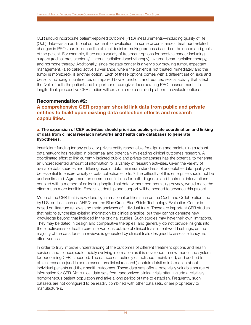CER should incorporate patient-reported outcome (PRO) measurements—including quality of life (QoL) data—as an additional component for evaluation. In some circumstances, treatment-related changes in PROs can influence the clinical decision-making process based on the needs and goals of the patient. For example, there are a variety of treatment options for prostate cancer including surgery (radical prostatectomy), internal radiation (brachytherapy), external beam radiation therapy, and hormone therapy. Additionally, since prostate cancer is a very slow growing tumor, expectant management, (also called active surveillance, where the patient is not treated immediately and the tumor is monitored), is another option. Each of these options comes with a different set of risks and benefits including incontinence, or impaired bowel function, and reduced sexual activity that affect the QoL of both the patient and his partner or caregiver. Incorporating PRO measurement into longitudinal, prospective CER studies will provide a more detailed platform to evaluate options.

#### **Recommendation #2:**

## **A comprehensive CER program should link data from public and private entities to build upon existing data collection efforts and research capabilities.**

#### **a. The expansion of CER activities should prioritize public-private coordination and linking of data from clinical research networks and health care databases to generate hypotheses.**

Insufficient funding for any public or private entity responsible for aligning and maintaining a robust data network has resulted in piecemeal and potentially misleading clinical outcomes research. A coordinated effort to link currently isolated public and private databases has the potential to generate an unprecedented amount of information for a variety of research activities. Given the variety of available data sources and differing uses of data, minimum standards of acceptable data quality will be essential to ensure validity of data collection efforts.<sup>42</sup> The difficulty of this enterprise should not be underestimated. Agreement on common definitions for both diagnosis and treatment interventions coupled with a method of collecting longitudinal data without compromising privacy, would make the effort much more feasible. Federal leadership and support will be needed to advance this project.

Much of the CER that is now done by international entities such as the Cochrane Collaboration and by U.S. entities such as AHRQ and the Blue Cross Blue Shield Technology Evaluation Center is based on literature reviews and meta-analyses of individual trials. These are important CER studies that help to synthesize existing information for clinical practice, but they cannot generate new knowledge beyond that included in the original studies. Such studies may have their own limitations. They may be dated in design and comparative therapies, and generally do not provide insights into the effectiveness of health care interventions outside of clinical trials in real-world settings, as the majority of the data for such reviews is generated by clinical trials designed to assess efficacy, not effectiveness.

In order to truly improve understanding of the outcomes of different treatment options and health services and to incorporate rapidly evolving information as it is developed, a new model and system for performing CER is needed. The databases routinely established, maintained, and audited for clinical research (and in some cases, preclinical research) contain detailed information about individual patients and their health outcomes. These data sets offer a potentially valuable source of information for CER. Yet clinical data sets from randomized clinical trials often include a relatively homogeneous patient population and take a long period of time to establish. Frequently, such datasets are not configured to be readily combined with other data sets, or are proprietary to manufacturers.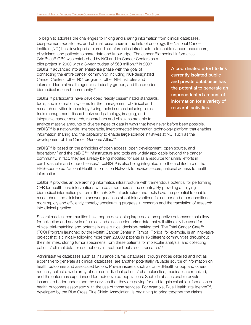To begin to address the challenges to linking and sharing information from clinical databases, biospecimen repositories, and clinical researchers in the field of oncology, the National Cancer Institute (NCI) has developed a biomedical informatics infrastructure to enable cancer researchers, physicians, and patients to share data and knowledge. The cancer Biomedical Informatics

Grid™(caBIG™) was established by NCI and its Cancer Centers as a pilot project in 2003 with a 3-year budget of \$60 million.<sup>43</sup> In 2007, caBIG™ advanced into an enterprise phase with the goal of connecting the entire cancer community, including NCI-designated Cancer Centers, other NCI programs, other NIH institutes and interested federal health agencies, industry groups, and the broader biomedical research community.44

caBIG™ participants have developed readily disseminated standards, tools, and information systems for the management of clinical and research activities in oncology. Using tools in areas including clinical trials management, tissue banks and pathology, imaging, and integrative cancer research, researchers and clinicians are able to

A coordinated effort to link **currently isolated public and private databases has the potential to generate an unprecedented amount of information for a variety of research activities.**

analyze massive amounts of diverse types of data in ways that have never before been possible. caBIG™ is a nationwide, interoperable, interconnected information technology platform that enables information sharing and the capability to enable large science initiatives at NCI such as the development of The Cancer Genome Atlas.45

caBIG™ is based on the principles of open access, open development, open source, and federation,<sup>46</sup> and the caBIG™ infrastructure and tools are widely applicable beyond the cancer community. In fact, they are already being modified for use as a resource for similar efforts in cardiovascular and other diseases.47 caBIG™ is also being integrated into the architecture of the HHS-sponsored National Health Information Network to provide secure, national access to health information.

caBIG™ provides an overarching informatics infrastructure with tremendous potential for performing CER for health care interventions with data from across the country. By providing a unifying biomedical informatics platform, the caBIG™ infrastructure and tools have the potential to enable researchers and clinicians to answer questions about interventions for cancer and other conditions more rapidly and efficiently, thereby accelerating progress in research and the translation of research into clinical practice.

Several medical communities have begun developing large-scale prospective databases that allow for collection and analysis of clinical and disease biomarker data that will ultimately be used for clinical trial-matching and potentially as a clinical decision-making tool. The Total Cancer Care™ (TCC) Program launched by the Moffitt Cancer Center in Tampa, Florida, for example, is an innovative project that is clinically following more than 28,000 patients in 16 different communities throughout their lifetimes, storing tumor specimens from these patients for molecular analysis, and collecting patients' clinical data for use not only in treatment but also in research.<sup>48</sup>

Administrative databases such as insurance claims databases, though not as detailed and not as expensive to generate as clinical databases, are another potentially valuable source of information on health outcomes and associated factors. Private insurers such as UnitedHealth Group and others routinely collect a wide array of data on individual patients' characteristics, medical care received, and the outcomes experienced for their covered populations. Such databases enable private insurers to better understand the services that they are paying for and to gain valuable information on health outcomes associated with the use of those services. For example, Blue Health Intelligence™, developed by the Blue Cross Blue Shield Association, is beginning to bring together the claims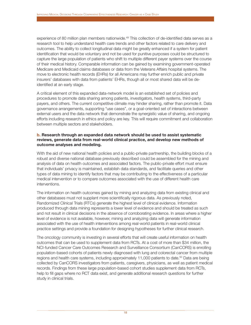experience of 80 million plan members nationwide.<sup>49</sup> This collection of de-identified data serves as a research tool to help understand health care trends and other factors related to care delivery and outcomes. The ability to collect longitudinal data might be greatly enhanced if a system for patient identification that would be voluntary and not be used for punitive purposes could be structured to capture the large population of patients who shift to multiple different payer systems over the course of their medical history. Comparable information can be gained by examining government-operated Medicare and Medicaid claims databases or data from the Veterans Affairs hospital systems. The move to electronic health records (EHRs) for all Americans may further enrich public and private insurers' databases with data from patients' EHRs, though all or most shared data will be deidentified at an early stage.

A critical element of this expanded data-network model is an established set of policies and procedures to promote data sharing among patients, investigators, health systems, third-party payers, and others. The current competitive climate may hinder sharing, rather than promote it. Data governance arrangements, supporting "use cases", or a goal-oriented set of interactions between external users and the data network that demonstrate the synergistic value of sharing, and ongoing efforts including research in ethics and policy are key. This will require commitment and collaboration between multiple sectors and stakeholders.

#### **b. Research through an expanded data network should be used to assist systematic reviews, generate data from real-world clinical practice, and develop new methods of outcome analyses and modeling.**

With the aid of new national health policies and a public-private partnership, the building blocks of a robust and diverse national database previously described could be assembled for the mining and analysis of data on health outcomes and associated factors. The public-private effort must ensure that individuals' privacy is maintained, establish data standards, and facilitate queries and other types of data mining to identify factors that may be contributing to the effectiveness of a particular medical intervention or to compare outcomes associated with the use of different health care interventions.

The information on health outcomes gained by mining and analyzing data from existing clinical and other databases must not supplant more scientifically rigorous data. As previously noted, Randomized Clinical Trials (RTCs) generate the highest level of clinical evidence. Information produced through data mining represents a lower level of evidence and should be treated as such and not result in clinical decisions in the absence of corroborating evidence. In areas where a higher level of evidence is not available, however, mining and analyzing data will generate information associated with the use of health interventions among real-world patients in real-world clinical practice settings and provide a foundation for designing hypotheses for further clinical research.

The oncology community is investing in several efforts that will create useful information on health outcomes that can be used to supplement data from RCTs. At a cost of more than \$34 million, the NCI-funded Cancer Care Outcomes Research and Surveillance Consortium (CanCORS) is enrolling population-based cohorts of patients newly diagnosed with lung and colorectal cancer from multiple regions and health care systems, including approximately 11,000 patients to date.<sup>50</sup> Data are being collected by CanCORS investigators from patients, caregivers, physicians, as well as patient medical records. Findings from these large population-based cohort studies supplement data from RCTs, help to fill gaps where no RCT data exist, and generate additional research questions for further study in clinical trials.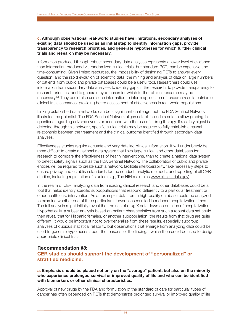#### **c. Although observational real-world studies have limitations, secondary analyses of existing data should be used as an initial step to identify information gaps, provide transparency to research priorities, and generate hypotheses for which further clinical trials and research may be necessary.**

Information produced through robust secondary data analyses represents a lower level of evidence than information produced via randomized clinical trials, but standard RCTs can be expensive and time-consuming. Given limited resources, the impossibility of designing RCTs to answer every question, and the rapid evolution of scientific data, the mining and analysis of data on large numbers of patients from public and private databases could be a useful tool. Researchers could use information from secondary data analyses to identify gaps in the research, to provide transparency to research priorities, and to generate hypotheses for which further clinical research may be necessary.51 They could also use such information to inform application of research results outside of clinical trials scenarios, providing better assessment of effectiveness in real-world populations.

Linking established data networks can be a significant challenge, but the FDA Sentinel Network illustrates the potential. The FDA Sentinel Network aligns established data sets to allow probing for questions regarding adverse events experienced with the use of a drug therapy. If a safety signal is detected through this network, specific clinical trials may be required to fully establish a causal relationship between the treatment and the clinical outcome identified through secondary data analyses.

Effectiveness studies require accurate and very detailed clinical information. It will undoubtedly be more difficult to create a national data system that links large clinical and other databases for research to compare the effectiveness of health interventions, than to create a national data system to detect safety signals such as the FDA Sentinel Network. The collaboration of public and private entities will be required to create such a network, facilitate interoperability, take necessary steps to ensure privacy, and establish standards for the conduct, analytic methods, and reporting of all CER studies, including registration of studies (e.g., The NIH maintains www.clinicaltrials.gov).

In the realm of CER, analyzing data from existing clinical research and other databases could be a tool that helps identify specific subpopulations that respond differently to a particular treatment or other health care intervention. As an example, data from a high-quality database could be analyzed to examine whether one of three particular interventions resulted in reduced hospitalization times. The full analysis might initially reveal that the use of drug X cuts down on duration of hospitalization. Hypothetically, a subset analysis based on patient characteristics from such a robust data set could then reveal that for Hispanic females, or another subpopulation, the results from that drug are quite different. It would be important not to overgeneralize from these results, especially subgroup analyses of dubious statistical reliability, but observations that emerge from analyzing data could be used to generate hypotheses about the reasons for the findings, which then could be used to design appropriate clinical trials.

### **Recommendation #3:**

## **CER studies should support the development of "personalized" or stratified medicine.**

**a. Emphasis should be placed not only on the "average" patient, but also on the minority who experience prolonged survival or improved quality of life and who can be identified with biomarkers or other clinical characteristics.**

Approval of new drugs by the FDA and formulation of the standard of care for particular types of cancer has often depended on RCTs that demonstrate prolonged survival or improved quality of life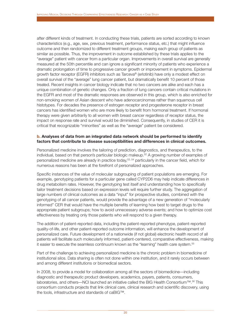after different kinds of treatment. In conducting these trials, patients are sorted according to known characteristics (e.g., age, sex, previous treatment, performance status, etc.) that might influence outcome and then randomized to different treatment groups, making each group of patients as similar as possible. Thus, the improvement in outcome established by these trials applies to the "average" patient with cancer from a particular organ. Improvements in overall survival are generally measured at the 50th percentile and can ignore a significant minority of patients who experience a dramatic prolongation of time to progressive cancer growth or improvement in symptoms. Epidermal growth factor receptor (EGFR) inhibitors such as Tarceva® (erlotinib) have only a modest effect on overall survival of the "average" lung cancer patient, but dramatically benefit 10 percent of those treated. Recent insights in cancer biology indicate that no two cancers are alike and each has a unique combination of genetic changes. Only a fraction of lung cancers contain critical mutations in the EGFR and most of the dramatic responses are observed in this group, which is also enriched for non-smoking women of Asian descent who have adenocarcinomas rather than squamous cell histotypes. For decades the presence of estrogen receptor and progesterone receptor in breast cancers has identified women who are more likely to benefit from hormonal treatment. If hormonal therapy were given arbitrarily to all women with breast cancer regardless of receptor status, the impact on response rate and survival would be diminished. Consequently, in studies of CER it is critical that recognizable "minorities" as well as the "average" patient be considered.

#### **b. Analyses of data from an integrated data network should be performed to identify factors that contribute to disease susceptibilities and differences in clinical outcomes.**

Personalized medicine involves the tailoring of prediction, diagnostics, and therapeutics, to the individual, based on that person's particular biologic makeup.52 A growing number of examples of personalized medicine are already in practice today,<sup>53, 54</sup> particularly in the cancer field, which for numerous reasons has been at the forefront of personalized approaches.

Specific instances of the value of molecular subgrouping of patient populations are emerging. For example, genotyping patients for a particular gene called CYP2D6 may help indicate differences in drug metabolism rates. However, the genotyping test itself and understanding how to specifically tailor treatment decisions based on expression levels will require further study. The aggregation of large numbers of clinical outcomes as a data "input" for prospective studies, combined with the genotyping of all cancer patients, would provide the advantage of a new generation of "molecularly informed" CER that would have the multiple benefits of learning how best to target drugs to the appropriate patient subgroups; how to avoid unnecessary adverse events; and how to optimize cost effectiveness by treating only those patients who will respond to a given therapy.

The addition of patient-reported data, including the patient-reported phenotype, patient-reported quality-of-life, and other patient-reported outcome information, will enhance the development of personalized care. Future development of a nationwide (if not global) electronic health record of all patients will facilitate such molecularly informed, patient-centered, comparative effectiveness, making it easier to execute the seamless continuum known as the "learning" health care system.<sup>55</sup>

Part of the challenge to achieving personalized medicine is the chronic problem in biomedicine of institutional silos. Data sharing is often not done within one institution, and it rarely occurs between and among different institutions or biomedical sectors.

In 2008, to provide a model for collaboration among all the sectors of biomedicine—including diagnostic and therapeutic product developers, academics, payers, patients, consumers, laboratories, and others—NCI launched an initiative called the BIG Health Consortium™.56 This consortium conducts projects that link clinical care, clinical research and scientific discovery, using the tools, infrastructure and standards of caBIG™.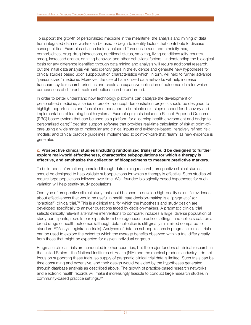To support the growth of personalized medicine in the meantime, the analysis and mining of data from integrated data networks can be used to begin to identify factors that contribute to disease susceptibilities. Examples of such factors include differences in race and ethnicity, sex, comorbidities, drug-drug interactions, nutritional status, smoking, living conditions (city-country, smog, increased ozone), drinking behavior, and other behavioral factors. Understanding the biological basis for any difference identified through data mining and analysis will require additional research, but the initial data analysis will help identify gaps in the evidence and generate new hypotheses for clinical studies based upon subpopulation characteristics which, in turn, will help to further advance "personalized" medicine. Moreover, the use of harmonized data networks will help increase transparency to research priorities and create an expansive collection of outcomes data for which comparisons of different treatment options can be performed.

In order to better understand how technology platforms can catalyze the development of personalized medicine, a series of proof-of-concept demonstration projects should be designed to highlight opportunities and feasible methods and to illuminate next steps needed for discovery and implementation of learning health systems. Example projects include: a Patient-Reported Outcome (PRO) based system that can be used as a platform for a learning health environment and bridge to personalized care;<sup>57</sup> decision support software that provides real-time calculation of risk at point-ofcare using a wide range of molecular and clinical inputs and evidence-based, iteratively refined risk models; and clinical practice guidelines implemented at point-of-care that "learn" as new evidence is generated.

#### **c. Prospective clinical studies (including randomized trials) should be designed to further explore real-world effectiveness, characterize subpopulations for which a therapy is effective, and emphasize the collection of biospecimens to measure predictive markers.**

To build upon information generated through data mining research, prospective clinical studies should be designed to help validate subpopulations for which a therapy is effective. Such studies will require large populations followed over time. Well-founded biologically based hypotheses for such variation will help stratify study populations.

One type of prospective clinical study that could be used to develop high-quality scientific evidence about effectiveness that would be useful in health care decision-making is a "pragmatic" (or "practical") clinical trial.<sup>58</sup> This is a clinical trial for which the hypothesis and study design are developed specifically to answer questions faced by decision-makers. A pragmatic clinical trial selects clinically relevant alternative interventions to compare; includes a large, diverse population of study participants; recruits participants from heterogeneous practice settings; and collects data on a broad range of health outcomes (although data collection is still greatly minimized compared to standard FDA-style registration trials). Analyses of data on subpopulations in pragmatic clinical trials can be used to explore the extent to which the average benefits observed within a trial differ greatly from those that might be expected for a given individual or group.

Pragmatic clinical trials are conducted in other countries, but the major funders of clinical research in the United States—the National Institutes of Health (NIH) and the medical products industry—do not focus on supporting these trials, so supply of pragmatic clinical trial data is limited. Such trials can be time consuming and expensive, and their design would be aided by the hypotheses generated through database analysis as described above. The growth of practice-based research networks and electronic health records will make it increasingly feasible to conduct large research studies in community-based practice settings.<sup>59</sup>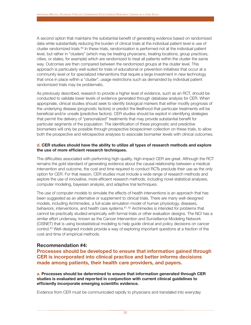A second option that maintains the substantial benefit of generating evidence based on randomized data while substantially reducing the burden of clinical trials at the individual patient level is use of cluster randomized trials. $60$  In these trials, randomization is performed not at the individual patient level, but rather in "clusters" (which may be treating physicians, treating locations, group practices, cities, or states, for example) which are randomized to treat all patients within the cluster the same way. Outcomes are then compared between the randomized groups at the cluster level. This approach is particularly well-suited for trials of educational or prevention initiatives that occur at a community level or for specialized interventions that require a large investment in new technology that once in place within a "cluster", usage restrictions such as demanded by individual patient randomized trials may be problematic.

As previously described, research to provide a higher level of evidence, such as an RCT, should be conducted to validate lower levels of evidence generated through database analysis for CER. When appropriate, clinical studies should seek to identify biological markers that either modify prognosis of the underlying disease (prognostic factors) or predict the likelihood that particular treatments will be beneficial and/or unsafe (predictive factors). CER studies should be explicit in identifying strategies that permit the delivery of "personalized" treatments that may provide substantial benefit for particular segments of the population. The identification of these prognostic and predictive biomarkers will only be possible through prospective biospecimen collection on these trials, to allow both the prospective and retrospective analyses to associate biomarker levels with clinical outcomes.

#### **d. CER studies should have the ability to utilize all types of research methods and explore the use of more efficient research techniques.**

The difficulties associated with performing high-quality, high-impact CER are great. Although the RCT remains the gold standard of generating evidence about the causal relationship between a medical intervention and outcome, the cost and time required to conduct RCTs preclude their use as the only option for CER. For that reason, CER studies must include a wide range of research methods and explore the use of innovative, more efficient research methods, including novel statistical analyses, computer modeling, bayesian analysis, and adaptive trial techniques.

The use of computer models to simulate the effects of health interventions is an approach that has been suggested as an alternative or supplement to clinical trials. There are many well-designed models, including Archimedes, a full-scale simulation model of human physiology, diseases, behaviors, interventions, and health care systems.61, 62 Archimedes is intended for problems that cannot be practically studied empirically with formal trials or other evaluation designs. The NCI has a similar effort underway, known as the Cancer Intervention and Surveillance Modeling Network (CISNET) that is using biostastistical modeling to help guide clinical and policy decisions on cancer control.<sup>63</sup> Well-designed models provide a way of exploring important questions at a fraction of the cost and time of empirical methods.

#### **Recommendation #4:**

**Processes should be developed to ensure that information gained through CER is incorporated into clinical practice and better informs decisions made among patients, their health care providers, and payers.**

**a. Processes should be determined to ensure that information generated through CER studies is evaluated and reported in conjunction with current clinical guidelines to efficiently incorporate emerging scientific evidence.**

Evidence from CER must be communicated rapidly to physicians and translated into everyday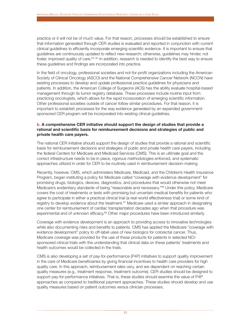practice or it will not be of much value. For that reason, processes should be established to ensure that information generated through CER studies is evaluated and reported in conjunction with current clinical guidelines to efficiently incorporate emerging scientific evidence. It is important to ensure that guidelines are continuously updated to reflect new research; otherwise, guidelines may hinder, not foster, improved quality of care.<sup>64, 65</sup> In addition, research is needed to identify the best way to ensure these guidelines and findings are incorporated into practice.

In the field of oncology, professional societies and not-for-profit organizations including the American Society of Clinical Oncology (ASCO) and the National Comprehensive Cancer Network (NCCN) have existing processes to develop and update professional practice guidelines for physicians and patients. In addition, the American College of Surgeons (ACS) has the ability evaluate hospital-based management through its tumor registry database. These processes include routine input from practicing oncologists, which allows for the rapid incorporation of emerging scientific information. Other professional societies outside of cancer follow similar procedures. For that reason, it is important to establish processes for the way evidence generated by an expanded governmentsponsored CER program will be incorporated into existing clinical guidelines.

#### **b. A comprehensive CER initiative should support the design of studies that provide a rational and scientific basis for reimbursement decisions and strategies of public and private health care payers.**

The national CER initiative should support the design of studies that provide a rational and scientific basis for reimbursement decisions and strategies of public and private health care payers, including the federal Centers for Medicare and Medicaid Services (CMS). This is an ultimate goal and the correct infrastructure needs to be in place, rigorous methodologies enforced, and systematic approaches utilized in order for CER to be routinely used in reimbursement decision-making.

Recently, however, CMS, which administers Medicare, Medicaid, and the Children's Health Insurance Program, began instituting a policy for Medicare called "coverage with evidence development" for promising drugs, biologics, devices, diagnostics, and procedures that would otherwise not meet Medicare's evidentiary standards of being "reasonable and necessary."<sup>66</sup> Under this policy, Medicare covers the cost of treatments or tests with promising but uncertain medical benefits for patients who agree to participate in either a practical clinical trial (a real-world effectiveness trial) or some kind of registry to develop evidence about the treatment.<sup>67</sup> Medicare used a similar approach in designating one center for reimbursement of cardiac transplantation decades ago when that procedure was experimental and of unknown efficacy.<sup>68</sup> Other major procedures have been introduced similarly.

Coverage with evidence development is an approach to providing access to innovative technologies while also documenting risks and benefits to patients. CMS has applied the Medicare "coverage with evidence development" policy to off-label uses of new biologics for colorectal cancer. Thus, Medicare coverage was provided for the use of these products for patients in selected NCIsponsored clinical trials with the understanding that clinical data on these patients' treatments and health outcomes would be collected in the trials.

CMS is also developing a set of pay-for-performance (P4P) initiatives to support quality improvement in the care of Medicare beneficiaries by giving financial incentives to health care providers for high quality care. In this approach, reimbursement rates vary, and are dependent on reaching certain quality measures (e.g., treatment response, treatment outcome). CER studies should be designed to support pay-for-performance initiatives. That is, these studies should examine the value of P4P approaches as compared to traditional payment approaches. These studies should develop and use quality measures based on patient outcomes versus clinician processes.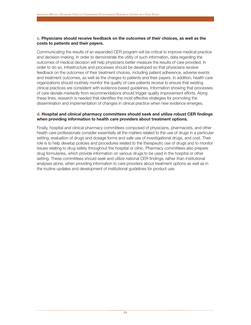#### **c. Physicians should receive feedback on the outcomes of their choices, as well as the costs to patients and their payers.**

Communicating the results of an expanded CER program will be critical to improve medical practice and decision-making. In order to demonstrate the utility of such information, data regarding the outcomes of medical decision will help physicians better measure the results of care provided. In order to do so, infrastructure and processes should be developed so that physicians receive feedback on the outcomes of their treatment choices, including patient adherence, adverse events and treatment outcomes, as well as the charges to patients and their payers. In addition, health care organizations should routinely monitor the quality of care patients receive to ensure that existing clinical practices are consistent with evidence-based guidelines. Information showing that processes of care deviate markedly from recommendations should trigger quality improvement efforts. Along these lines, research is needed that identifies the most effective strategies for promoting the dissemination and implementation of changes in clinical practice when new evidence emerges.

#### **d. Hospital and clinical pharmacy committees should seek and utilize robust CER findings when providing information to health care providers about treatment options.**

Finally, hospital and clinical pharmacy committees composed of physicians, pharmacists, and other health care professionals consider essentially all the matters related to the use of drugs in a particular setting, evaluation of drugs and dosage forms and safe use of investigational drugs, and cost. Their role is to help develop policies and procedures related to the therapeutic use of drugs and to monitor issues relating to drug safety throughout the hospital or clinic. Pharmacy committees also prepare drug formularies, which provide information on various drugs to be used in the hospital or other setting. These committees should seek and utilize national CER findings, rather than institutional analyses alone, when providing information to care providers about treatment options as well as in the routine updates and development of institutional guidelines for product use.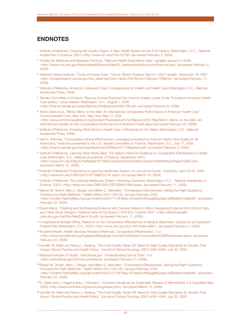## **ENDNOTES**

- <sup>1</sup> Institute of Medicine, *Crossing the Quality Chasm: A New Health System for the 21st Century* (Washington, D.C.: National Academies of Science, 2001) <http://www.iom.edu/?id=12736> (accessed February 3, 2009).
- <sup>2</sup> Centers for Medicare and Medicaid Services, "National Health Expenditure Data," updated January 6, 2009. <http://www.cms.hhs.gov/NationalHealthExpendData/02\_NationalHealthAccountsHistorical.asp> (accessed February 2, 2009).
- <sup>3</sup> National Cancer Institute, "Costs of Cancer Care," *Cancer Trends Progress Report—2007 Update*, November 16, 2007 <http://progressreport.cancer.gov/doc\_detail.asp?pid=1&did=2007&chid=75&coid=726&mid> (accessed February 11, 2009).
- <sup>4</sup> Institute of Medicine, *America's Uninsured Crisis: Consequences for Health and Health Care* (Washington, D.C.: National Academies Press, 2009).
- <sup>5</sup> Senate Committee on Finance, "Baucus-Conrad Proposal Can Improve Quality, Lower Costs Throughout American Health Care system," press release, Washington, D.C., August 1, 2008 <http://finance.senate.gov/press/Bpress/2008press/prb080108.pdf> (accessed February 6, 2009).
- <sup>6</sup> Karen Davis et al., "Mirror, Mirror on the Wall: An International Comparative Performance of American Health Care." Commonwealth Fund, New York, New York, May 15, 2007 <http://www.commonwealthfund.org/Content/Publications/Fund-Reports/2007/May/Mirror--Mirror-on-the-Wall--An-International-Update-on-the-Comparative-Performance-of-American-Healt.aspx>(accessed February 22, 2009).
- <sup>7</sup> Institute of Medicine, *Knowing What Works in Health Care: A Roadmap for the Nation* (Washington, D.C.: National Academies Press, 2008).
- <sup>8</sup> Gail R. Wilensky, "Comparative Clinical Effectiveness: Leveraging Innovation to Improve Health Care Quality for All Americans," testimony presented to the U.S. Senate Committee on Finance, Washington, D.C., July 17, 2009. <http://finance.senate.gov/hearings/testimony/2008test/071708gwtest.pdf> (accessed February 2, 2009).
- <sup>9</sup> Institute of Medicine, *Learning What Works Best: The Nation's Need for Evidence on Comparative Effectiveness in Health Care* (Washington, D.C., National Academies of Science, September 2007) <http://www.iom.edu/Object.File/Master/57/393/Comparative%20Effectiveness%20White%20Paper%20(F).pdf> (accessed March 15, 2009).
- <sup>10</sup> Institute of Medicine,"Engineering a Learning Healthcare System: A Look at the Future," workshop, April 29-30, 2008 <http://www.iom.edu/CMS/28312/RT-EBM/52747.aspx> (accessed March 15, 2009).
- <sup>11</sup> Institute of Medicine, *The Learning Healthcare System: Workshop Summary* (Washington, D.C.: National Academies of Science, 2007) <http://www.iom.edu/CMS/28312/RT-EBM/41894.aspx> (accessed February 11, 2009).
- <sup>12</sup> Steven M. Teutch, Marc L. Berger, and Milton C. Weinstein, "Comparative Effectiveness: Asking the Right Questions, Choosing the Right Methods," *Health Affairs* 24(1):128-132, January/February 2003 <http://content.healthaffairs.org/cgi/content/full/24/1/128?ijkey=XFwpeHvAhIqxg&keytype=ref&siteid=healthaff> (accessed February 22, 2009).
- 13David Atkins, "Creating and Synthesizing Evidence with Decision Makers in Mind: Integrating Evidence from Clinical Trials and Other Study Designs," *Medical Care* 45(10) Suppl 2: S16-S22, October 2007 <http://effectivehealth care.ahrq.gov/repFiles/MedCare/s16.pdf> (accessed February 11, 2009).
- <sup>14</sup> Congressional Budget Office, *Research on the Comparative Effectiveness of Medical Treatments: Options for an Expanded Federal Role* (Washington, D.C.: 2007) <http://www.cbo.gov/doc.cfm?index=8891> (accessed February 3, 2009).
- <sup>15</sup> AcademyHealth, Health Services Research Methods: Comparative Effectiveness," n.d. <http://www.hsrmethods.org/SuggestedReadings/Journal%20Articles/Comparative%20Effectiveness.aspx> (accessed February 20, 2009).
- <sup>16</sup> Jennifer M. Malin and Nancy L. Keating, "The Cost-Quality Trade-Off: Need for Data Quality Standards for Studies That Impact Clinical Practice and Health Policy," *Journal of Clinical Oncology* 23(21):4581-4584, July 20, 2005.
- 17 National Institutes of Health, clinicaltrials.gov, "Understanding Clinical Trials," n.d. <http://clinicaltrials.gov/ct2/info/understand> (accessed February 21, 2009).
- <sup>18</sup> Steven M. Teutch, Marc L. Berger, and Milton C. Weinstein, "Comparative Effectiveness: Asking the Right Questions, Choosing the Right Methods," *Health Affairs* 24(1):128-132, January/February 2003 <http://content.healthaffairs.org/cgi/content/full/24/1/128?ijkey=XFwpeHvAhIqxg&keytype=ref&siteid=healthaff> (accessed February 22, 2009).
- <sup>19</sup> S. Green and J. Higgens (eds.), "Glossary," *Cochrane Handbook for Systematic Reviews of Interventions* 4.2.5 [updated May 2005] <http://www.cochrane.org/resources/glossary.htm> (accessed March 15, 2009).
- <sup>20</sup> Jennifer M. Malin and Nancy L. Keating, "The Cost-Quality Trade-Off: Need for Data Quality Standards for Studies That Impact Clinical Practice and Health Policy," *Journal of Clinical Oncology* 23(21):4581-4584, July 20, 2005.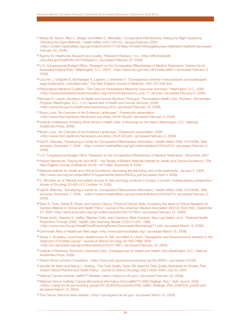- <sup>21</sup> Steven M. Teutch, Marc L. Berger, and Milton C. Weinstein, "Comparative Effectiveness: Asking the Right Questions, Choosing the Right Methods," *Health Affairs* 24(1):128-132, January/February 2003 <http://content.healthaffairs.org/cgi/content/full/24/1/128?ijkey=XFwpeHvAhIqxg&keytype=ref&siteid=healthaff>(accessed February 22, 2009).
- <sup>22</sup> Agency for Healthcare Research and Quality, "Research Reviews," n.d. <http://effectivehealth care.ahrq.gov/healthInfo.cfm?infotype=rr> (accessed February 20, 2009).
- 23U.S. Congressional Budget Office, "Research on the Comparative Effectiveness of Medical Treatments: Options for an Expanded Federal Role," (Washington, D.C.: 2007) <http://www.cbo.gov/doc.cfm?index=8891> (accessed February 3, 2009).
- <sup>24</sup> LeLorier J, Grégoire G, Benhaddad A, Lapierre J, Derderian F. "Discrepancies between meta-analyses and subsequent large randomized, controlled trials," *The New England Journal of Medicine*, 1997;337:536-542.
- <sup>25</sup> Personalized Medicine Coalition, "The Case for Personalized Medicine: Executive Summary," Washington, D.C., 2006 <http://www.personalizedmedicinecoalition.org/communications/pmc\_pub\_11\_06.php> (accessed February 9, 2009).
- <sup>26</sup> Michael O. Leavitt, Secretary of Health and Human Services,"Prologue," *Personalized Health Care: Pioneers, Partnerships, Progress* (Washington, D.C.: U.S. Department of Health and Human Services, 2008) <http://www.hhs.gov/myhealthcare/news/prolog.html> (accessed February 19, 2009).
- <sup>27</sup> Bryan Luce, "An Overview of the Evidence Landscape," Powerpoint presentation <http://www.nhpf.org/library/handouts/Luce.slides\_09-26-08.pdf> (accessed February 3, 2009).
- <sup>28</sup> Institute of Medicine, *Knowing What Works in Health Care: A Roadmap for the Nation* (Washington, D.C.: National Academies Press, 2008).
- <sup>29</sup> Bryan Luce, "An Overview of the Evidence Landscape," Powerpoint presentation, 2008. <http://www.nhpf.org/library/handouts/Luce.slides\_09-26-08.pdf> (accessed February 3, 2009).
- <sup>30</sup> Gail R. Wilensky, "Developing a Center for Comparative Effectiveness Information," *Health Affairs* 25(6): 572-W585, Web exclusive, November 7, 2006 <http://content.healthaffairs.org/cgi/content/abstract/25/6/w572> (accessed February 2, 2009).
- 31U.S. Congressional Budget Office "Research on the Comparative Effectiveness of Medical Treatments," December, 2007
- 32Robert Steinbrook, "Saying No isn't NICE the Travails of Britain's National Institute for Health and Clinical Excellence," *The New England Journal of Medicine* 35(19): 1977-1982, November 6, 2008.
- <sup>33</sup> National Institute for Health and Clinical Excellence: Appraising life-extending, end of life treatments. January 5, 2009. http://www.nice.org.uk/media/88A/F2/SupplementaryAdviceTACEoL.pdf (accessed April 9, 2009).
- <sup>34</sup> C. McCabe, et. al "Market and patient access to new oncology products in Europe: a current, multidisciplinary perspective," *Annals of Oncology* 20:403-412, October 14, 2008.
- <sup>35</sup> Gail R. Wilensky, "Developing a Center for Comparative Effectiveness Information," *Health Affairs* 25(6): 572-W585, Web exclusive, November 7, 2006. <http://content.healthaffairs.org/cgi/content/abstract/25/6/w572> (accessed February 2, 2009).
- <sup>36</sup> Sean R. Tunis, Daniel B. Stryer, and Carolyn Clancy, "Practical Clinical Trials: Increasing the Value of Clinical Research for Decision Making in Clinical and Health Policy," *Journal of the American Medical Association* 290(12):1624-1632, September 24, 2003 <http://jama.ama-assn.org/cgi/content/abstract/290/12/1624> (accessed February 22, 2009).
- <sup>37</sup> Sheila Smith, Stephen K. Heffler, Stephen Calfo, Kent Clemens, Mark Freeland, Mary Lee Seifert, et al., "National Health Projections Through 2008," *Health Care Financing Review* 21(2):211-237, 1999. <http://www.cms.hhs.gov/HealthCareFinancingReview/Downloads/99winterpg211.pdf> (accessed March 13, 2009).
- 38 Dartmouth Atlas of Healthcare Web page <http://www.dartmouthatlas.org/> (accessed March 15, 2009).
- 39 Tracey L. Krupisky, Lorna Kwan, Abdelmonem A. Afifi, and Mark S. Litwin, "Geographic and Socioeconomic Variation in the Treatment of Prostate Cancer," *Journal of Clinical Oncology* 23:7881-7888, 2005
- <http://jco.ascopubs.org/cgi/content/abstract/23/31/7881> (accessed February 19, 2009).
- <sup>40</sup> Institute of Medicine, *America's Uninsured Crisis: Consequences for Health and Health Care* (Washington, D.C.: National Academies Press, 2009).
- 41Robert Wood Johnson Foundation <http://www.rwjf.org/newsroom/product.jsp?id=30951> (accessed 4/3/09)
- 42 Jennifer M. Malin and Nancy L. Keating, "The Cost-Quality Trade-Off: Need for Data Quality Standards for Studies That Impact Clinical Practice and Health Policy," *Journal of Clinical Oncology* 23(21):4581-4584, July 20, 2005.
- <sup>43</sup> National Cancer Institute, caBIG™ Website <https://cabig.nci.nih.gov/> (accessed February 20, 2009).
- <sup>44</sup> National Cancer Institute,"Cancer Biomedical Informatics Grid (caBIG™) 2006 Strategic Plan," draft, April 6, 2006 <https://cabig.nci.nih.gov/working\_groups/SP\_SLWG/Documents/2006\_caBIG\_Strategic\_Plan\_Draft%20\_post(2).pdf> (accessed March 15, 2009).
- <sup>45</sup> The Cancer Genome Atlas website, <http://cancergenome.nih.gov> (accessed March 12, 2009).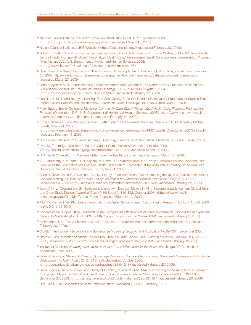- <sup>46</sup> National Cancer Institute, "caBIG™ Primer: An Introduction to caBIG™," December 2006 <https://cabig.nci.nih.gov/overview/cabig-primer/> (accessed March 15, 2009).
- <sup>47</sup> National Cancer Institute, caBIG Website < https://cabig.nci.nih.gov/> (accessed February 20, 2009).
- <sup>48</sup> William S. Dalton, David Fenstermacher, Paul Jacobsen, David de la Parte, and Timothy Yeatman, "Moffitt Cancer Center, Tampa Florida, Community-Based Personalized Health Care," *Personalized Health Care: Pioneers, Partnerships, Progress* (Washington, D.C.: U.S. Department of Health and Human Services, 2008). <http://www.hhs.gov/myhealthcare/news/community.html#cmuny7>
- 49Blue Cross Blue Shield Association, "The Pathway to Covering America. Ensuring Quality, Value, and Access," January 23, 2008 http://www.bcbs.com/issues/uninsured/pathway-to-covering-america/pathway-to-covering-america.pdf (accessed March 27, 2009).
- <sup>50</sup> John Z. Ayanian et al., "Understanding Cancer Treatment and Outcomes: The Cancer Care Outcomes Research and Surveillance Consortium," *Journal of Clinical Oncology* 22(15):2992-2996, August 1, 2004. <http://jco.ascopubs.org/cgi/content/full/22/15/2992> (accessed February 22, 2009).
- <sup>51</sup> Jennifer M. Malin and Nancy L. Keating, "The Cost-Quality Trade-Off: Need for Data Quality Standards for Studies That Impact Clinical Practice and Health Policy," *Journal of Clinical Oncology* 23(21):4581-4584, July 20, 2005.
- <sup>52</sup> Peter Traber, "Baylor College of Medicine: Community Case Study," *Personalized Health Care: Pioneers, Partnerships, Progress* (Washington, D.C.: U.S. Department of Health and Human Services, 2008). <http://www.hhs.gov/myhealth care/news/community.html#cmuny1> (accessed February 19, 2009).
- 53 Edward Abrahams and Wayne Rosenkranz, letter from the Personalized Medicine Coalition to HHS Secretary Michael Leavitt, March 21, 2007 <http://www.ageofpersonalizedmedicine.org/knowledge\_center/events/files/PMC\_Leavitt\_CoverLetter\_20070321.pdf>
- (accessed February 11, 2009).
- <sup>54</sup> Huntington F. Willard, Ph.D., and Geoffrey S. Ginsburg, *Genomic and Personalized Medicine* (St. Louis: Elsevier, 2009).
- <sup>55</sup> Lynn M. Etheredge, "Medicare's Future: Cancer Care", *Health Affairs*, 28(1):148-159, 2009 <http://content.healthaffairs.org/cgi/content/abstract/28/1/148> (accessed March 15, 2009).
- 56BIG Health Consortium™. Web site <http://www.bighealthconsortium.org> (accessed March 12, 2009).
- <sup>57</sup> A. P. Abernethy, S.Y, Zafar , R. Coeytaux, K. Rowe, J. L. Wheeler, and H. K. Lyerly, "Electronic Patient-Reported Data Capture as the Foundation of a Learning Health Care System," presented at the 45th annual meeting of the American Society of Clinical Oncology, Orlando, Florida, May 31, 2009.
- 58 Sean R. Tunis, Daniel B. Stryer, and Carolyn Clancy, "Practical Clinical Trials: Increasing the Value of Clinical Research for Decision Making in Clinical and Health Policy," *Journal of the American Medical Association* 290(12):1624-1632, September 24, 2003 <http://jama.ama-assn.org/cgi/content/abstract/290/12/1624> (accessed February 22, 2009).
- 59 David Atkins, "Creating and Synthesizing Evidence with Decision Makers in Mind: Integrating Evidence from Clinical Trials and Other Study Designs," *Medical Care* 45(10) Suppl 2: S16-S22, October 2007 <http://effectivehealth care.ahrq.gov/repFiles/MedCare/s16.pdf> (accessed February 11, 2009).
- <sup>60</sup> Allan Donner and Neil Klar. *Design and Analysis of Cluster Randomization Trials in Health Research*. London: Arnold, 2000, ISBN: 0-340-69153-0
- <sup>61</sup> Congressional Budget Office, *Research on the Comparative Effectiveness of Medical Treatments: Options for an Expanded Federal Role* (Washington, D.C.: 2007) <http://www.cbo.gov/doc.cfm?index=8891> (accessed February 3, 2009).
- <sup>62</sup> Archimedes, Inc., "The Archimedes Model," 2009 <http://archimedesmodel.com/archimedesmodel.html> (accessed February 20, 2009).
- 63 CISNET: The Cancer Intervention and Surveillance Modeling Network, NIN Publication No.09-7354, December 2008.
- 64David M. Dilts, "Practice Variation: The Achilles' Heel in Quality Cancer Care," *Journal of Clinical Oncology*, 23(25): 5881- 5882, September 1, 2005. <http://jco.ascopubs.org/cgi/content/full/23/25/5881> (accessed February 19, 200)
- <sup>65</sup> Institute of Medicine, *Knowing What Works in Health Care: A Roadmap for the Nation* (Washington, D.C.: National Academies Press, 2008).
- 66 Sean R. Tunis and Steven D. Pearson, "Coverage Options for Pomising Technologies: Medicare's Coverage with Evidence Development," *Health Affairs* 25(3):1218-1230, September/October 2006.
- <http://content.healthaffairs.org/cgi/content/abstract/25/5/1218> (accessed February 20, 2009).
- 67 Sean R. Tunis, Daniel B. Stryer, and Carolyn M. Clancy, "Practical Clinical Trials: Increasing the Value of Clinical Research for Decision Making in Clinical and Health Policy, *Journal of the American Medical Association* 290(12): 1624-1632, September 24, 2003. <http://jama.ama-assn.org/cgi/content/abstract/290/12/1624> (accessed February 20, 2009).
- 68RW Evans, "The Economics of Heart Transplantation" *Circulation* 75: 63-76, January, 1987.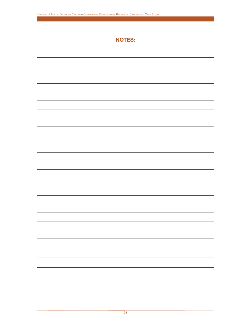# **NOTES:**

| ۰ |
|---|
| - |
|   |
|   |
|   |
|   |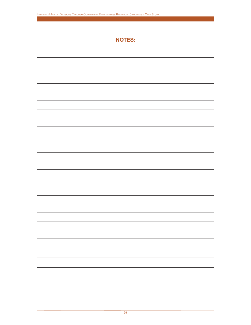# **NOTES:**

| - |
|---|
|   |
|   |
|   |
|   |